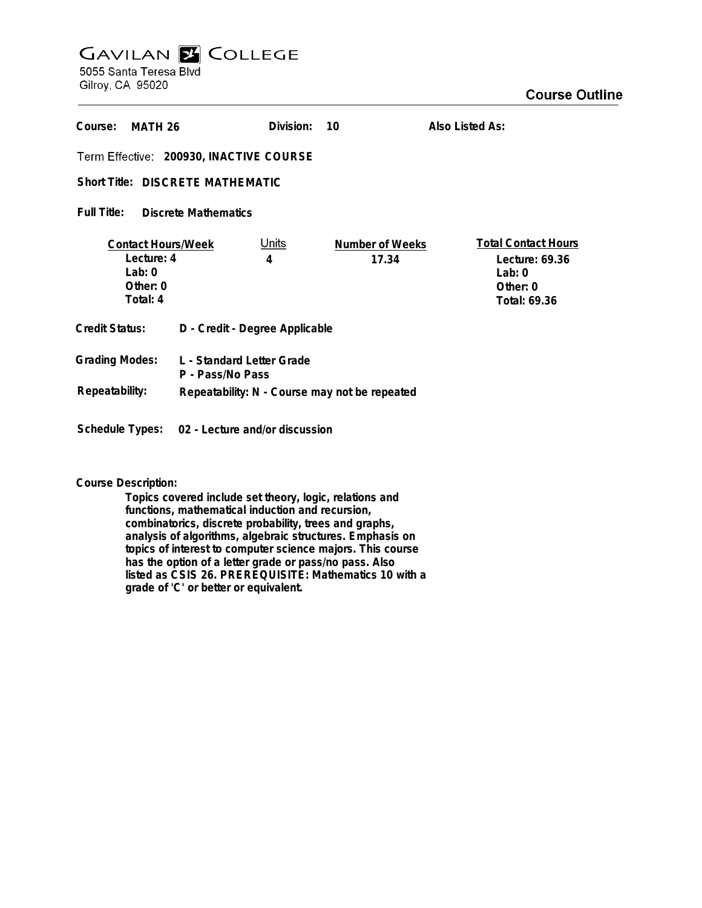## **GAVILAN Z COLLEGE** 5055 Santa Teresa Blvd

Gilroy, CA 95020

| Course:<br>MATH 26                                                            |                                               | Division:         | 10                       | Also Listed As:                                                                        |
|-------------------------------------------------------------------------------|-----------------------------------------------|-------------------|--------------------------|----------------------------------------------------------------------------------------|
| Term Effective: 200930, INACTIVE COURSE                                       |                                               |                   |                          |                                                                                        |
| Short Title: DISCRETE MATHEMATIC                                              |                                               |                   |                          |                                                                                        |
| Full Title:<br><b>Discrete Mathematics</b>                                    |                                               |                   |                          |                                                                                        |
| <b>Contact Hours/Week</b><br>Lecture: 4<br>Lab: $0$<br>Other: $0$<br>Total: 4 |                                               | <u>Units</u><br>4 | Number of Weeks<br>17.34 | <b>Total Contact Hours</b><br>Lecture: 69.36<br>Lab: $0$<br>Other: $0$<br>Total: 69.36 |
| <b>Credit Status:</b>                                                         | D - Credit - Degree Applicable                |                   |                          |                                                                                        |
| <b>Grading Modes:</b>                                                         | L - Standard Letter Grade<br>P - Pass/No Pass |                   |                          |                                                                                        |
| Repeatability:                                                                | Repeatability: N - Course may not be repeated |                   |                          |                                                                                        |
| Schedule Types: 02 - Lecture and/or discussion                                |                                               |                   |                          |                                                                                        |

**Course Description:**

**Topics covered include set theory, logic, relations and functions, mathematical induction and recursion, combinatorics, discrete probability, trees and graphs, analysis of algorithms, algebraic structures. Emphasis on topics of interest to computer science majors. This course has the option of a letter grade or pass/no pass. Also listed as CSIS 26. PREREQUISITE: Mathematics 10 with a grade of 'C' or better or equivalent.**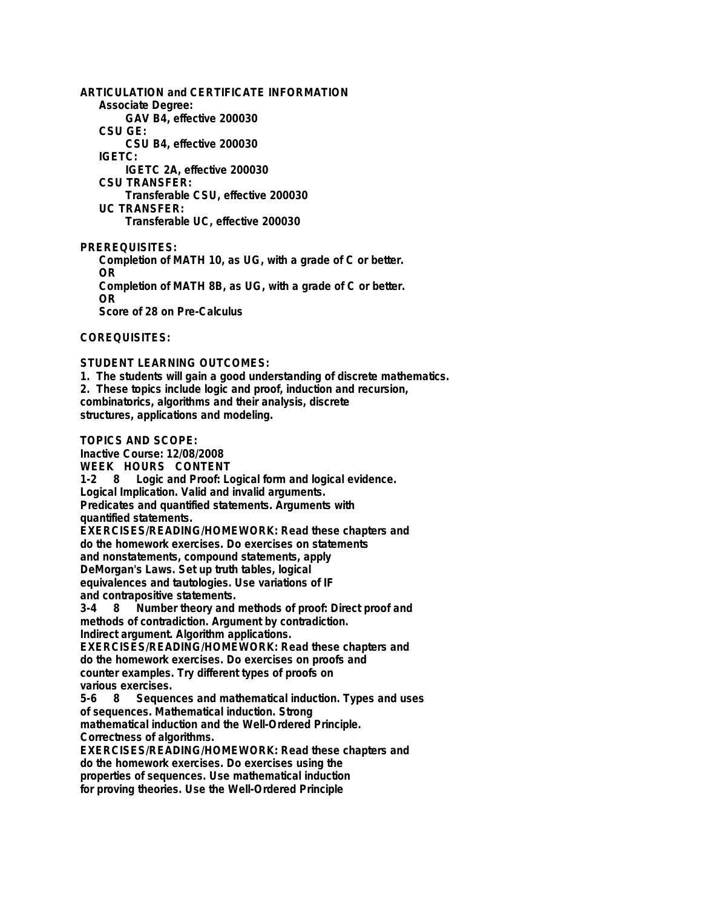**ARTICULATION and CERTIFICATE INFORMATION Associate Degree: GAV B4, effective 200030 CSU GE: CSU B4, effective 200030 IGETC: IGETC 2A, effective 200030 CSU TRANSFER: Transferable CSU, effective 200030 UC TRANSFER: Transferable UC, effective 200030 PREREQUISITES: Completion of MATH 10, as UG, with a grade of C or better.**

**OR Completion of MATH 8B, as UG, with a grade of C or better. OR Score of 28 on Pre-Calculus**

**COREQUISITES:**

**STUDENT LEARNING OUTCOMES:**

**1. The students will gain a good understanding of discrete mathematics. 2. These topics include logic and proof, induction and recursion, combinatorics, algorithms and their analysis, discrete structures, applications and modeling.**

**TOPICS AND SCOPE:**

**Inactive Course: 12/08/2008 WEEK HOURS CONTENT 1-2 8 Logic and Proof: Logical form and logical evidence. Logical Implication. Valid and invalid arguments. Predicates and quantified statements. Arguments with quantified statements. EXERCISES/READING/HOMEWORK: Read these chapters and do the homework exercises. Do exercises on statements and nonstatements, compound statements, apply DeMorgan's Laws. Set up truth tables, logical equivalences and tautologies. Use variations of IF and contrapositive statements. 3-4 8 Number theory and methods of proof: Direct proof and methods of contradiction. Argument by contradiction. Indirect argument. Algorithm applications. EXERCISES/READING/HOMEWORK: Read these chapters and do the homework exercises. Do exercises on proofs and counter examples. Try different types of proofs on various exercises. 5-6 8 Sequences and mathematical induction. Types and uses of sequences. Mathematical induction. Strong mathematical induction and the Well-Ordered Principle. Correctness of algorithms. EXERCISES/READING/HOMEWORK: Read these chapters and do the homework exercises. Do exercises using the properties of sequences. Use mathematical induction for proving theories. Use the Well-Ordered Principle**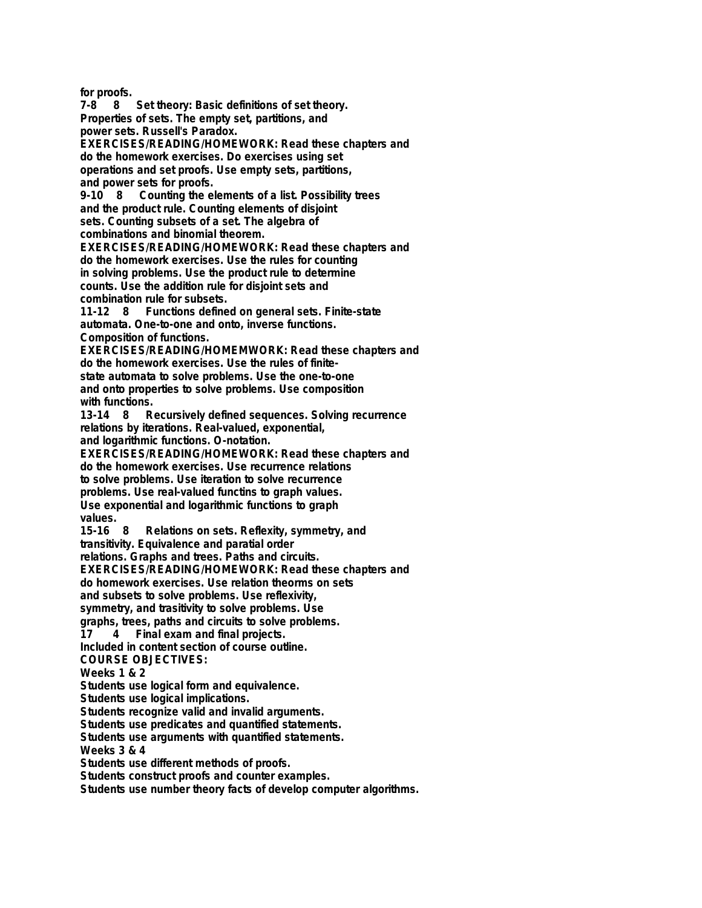**for proofs.**

**7-8 8 Set theory: Basic definitions of set theory. Properties of sets. The empty set, partitions, and power sets. Russell's Paradox. EXERCISES/READING/HOMEWORK: Read these chapters and**

**do the homework exercises. Do exercises using set operations and set proofs. Use empty sets, partitions, and power sets for proofs.**

**9-10 8 Counting the elements of a list. Possibility trees and the product rule. Counting elements of disjoint sets. Counting subsets of a set. The algebra of combinations and binomial theorem.**

**EXERCISES/READING/HOMEWORK: Read these chapters and do the homework exercises. Use the rules for counting in solving problems. Use the product rule to determine counts. Use the addition rule for disjoint sets and combination rule for subsets.**

**11-12 8 Functions defined on general sets. Finite-state automata. One-to-one and onto, inverse functions. Composition of functions.**

**EXERCISES/READING/HOMEMWORK: Read these chapters and do the homework exercises. Use the rules of finitestate automata to solve problems. Use the one-to-one and onto properties to solve problems. Use composition** with functions.<br>13-14 8 R

**13-14 8 Recursively defined sequences. Solving recurrence relations by iterations. Real-valued, exponential, and logarithmic functions. O-notation.**

**EXERCISES/READING/HOMEWORK: Read these chapters and do the homework exercises. Use recurrence relations to solve problems. Use iteration to solve recurrence problems. Use real-valued functins to graph values. Use exponential and logarithmic functions to graph values.**

**15-16 8 Relations on sets. Reflexity, symmetry, and**

**transitivity. Equivalence and paratial order**

**relations. Graphs and trees. Paths and circuits.**

**EXERCISES/READING/HOMEWORK: Read these chapters and**

**do homework exercises. Use relation theorms on sets**

**and subsets to solve problems. Use reflexivity,**

**symmetry, and trasitivity to solve problems. Use**

**graphs, trees, paths and circuits to solve problems.**

**17 4 Final exam and final projects.**

**Included in content section of course outline.**

**COURSE OBJECTIVES:**

**Weeks 1 & 2**

**Students use logical form and equivalence.**

**Students use logical implications.**

**Students recognize valid and invalid arguments.**

**Students use predicates and quantified statements.**

**Students use arguments with quantified statements.**

**Weeks 3 & 4**

**Students use different methods of proofs.**

**Students construct proofs and counter examples.**

**Students use number theory facts of develop computer algorithms.**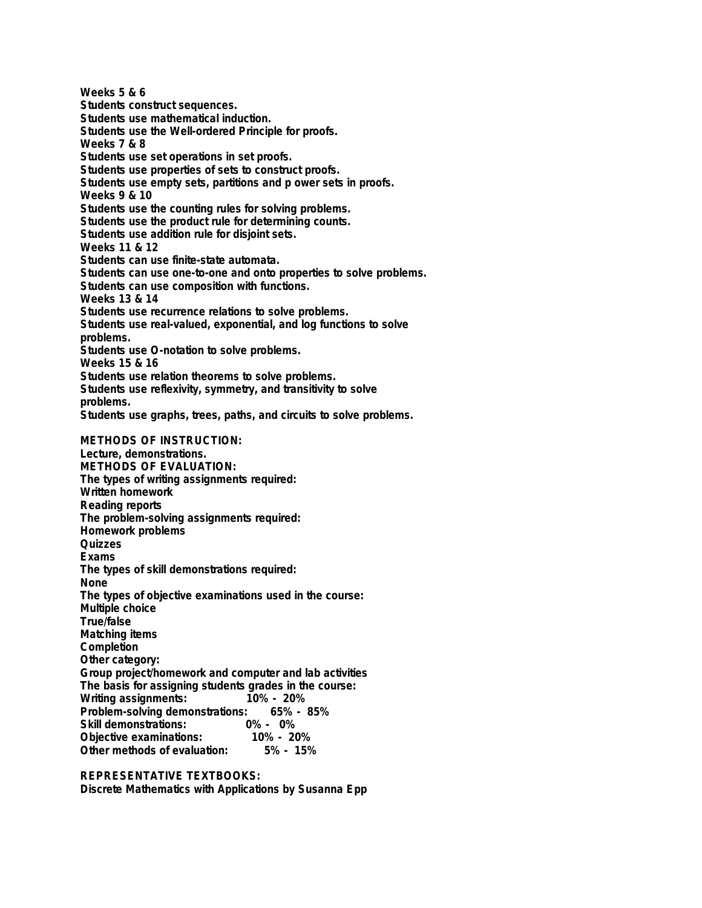**Weeks 5 & 6 Students construct sequences. Students use mathematical induction. Students use the Well-ordered Principle for proofs. Weeks 7 & 8 Students use set operations in set proofs. Students use properties of sets to construct proofs. Students use empty sets, partitions and p ower sets in proofs. Weeks 9 & 10 Students use the counting rules for solving problems. Students use the product rule for determining counts. Students use addition rule for disjoint sets. Weeks 11 & 12 Students can use finite-state automata. Students can use one-to-one and onto properties to solve problems. Students can use composition with functions. Weeks 13 & 14 Students use recurrence relations to solve problems. Students use real-valued, exponential, and log functions to solve problems. Students use O-notation to solve problems. Weeks 15 & 16 Students use relation theorems to solve problems. Students use reflexivity, symmetry, and transitivity to solve problems. Students use graphs, trees, paths, and circuits to solve problems. METHODS OF INSTRUCTION: Lecture, demonstrations. METHODS OF EVALUATION: The types of writing assignments required: Written homework Reading reports The problem-solving assignments required: Homework problems Quizzes Exams The types of skill demonstrations required: None The types of objective examinations used in the course: Multiple choice True/false Matching items Completion Other category: Group project/homework and computer and lab activities The basis for assigning students grades in the course: Writing assignments: Problem-solving demonstrations: 65% - 85% Skill demonstrations: 0% - 0% Objective examinations: 10% - 20% Other methods of evaluation:** 

## **REPRESENTATIVE TEXTBOOKS:**

**Discrete Mathematics with Applications by Susanna Epp**